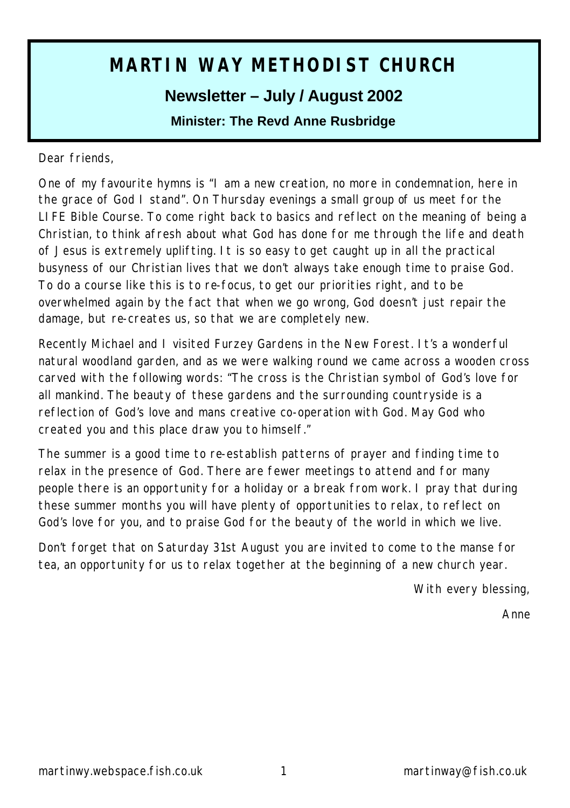# **MARTIN WAY METHODIST CHURCH**

# **Newsletter – July / August 2002**

**Minister: The Revd Anne Rusbridge**

Dear friends,

One of my favourite hymns is "I am a new creation, no more in condemnation, here in the grace of God I stand". On Thursday evenings a small group of us meet for the LIFE Bible Course. To come right back to basics and reflect on the meaning of being a Christian, to think afresh about what God has done for me through the life and death of Jesus is extremely uplifting. It is so easy to get caught up in all the practical busyness of our Christian lives that we don't always take enough time to praise God. To do a course like this is to re-focus, to get our priorities right, and to be overwhelmed again by the fact that when we go wrong, God doesn't just repair the damage, but re-creates us, so that we are completely new.

Recently Michael and I visited Furzey Gardens in the New Forest. It's a wonderful natural woodland garden, and as we were walking round we came across a wooden cross carved with the following words: "The cross is the Christian symbol of God's love for all mankind. The beauty of these gardens and the surrounding countryside is a reflection of God's love and mans creative co-operation with God. May God who created you and this place draw you to himself."

The summer is a good time to re-establish patterns of prayer and finding time to relax in the presence of God. There are fewer meetings to attend and for many people there is an opportunity for a holiday or a break from work. I pray that during these summer months you will have plenty of opportunities to relax, to reflect on God's love for you, and to praise God for the beauty of the world in which we live.

Don't forget that on Saturday 31st August you are invited to come to the manse for tea, an opportunity for us to relax together at the beginning of a new church year.

With every blessing,

Anne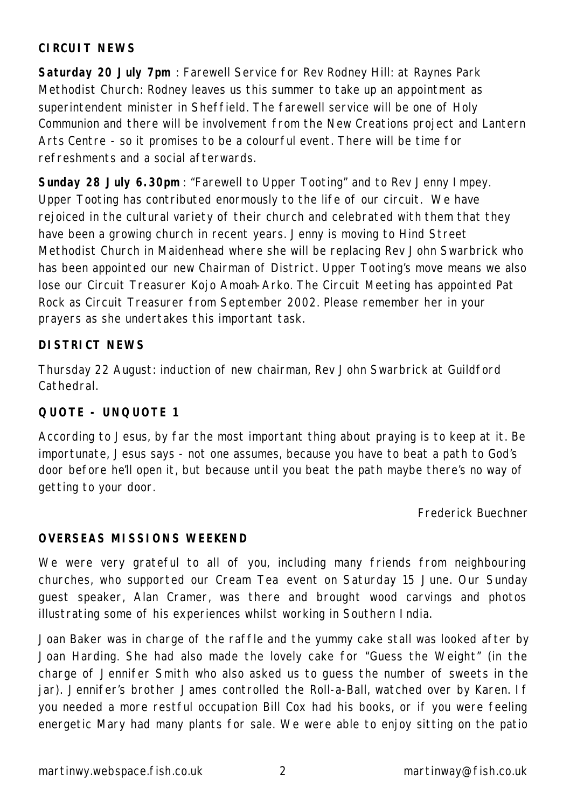#### **CIRCUIT NEWS**

**Saturday 20 July 7pm** : Farewell Service for Rev Rodney Hill: at Raynes Park Methodist Church: Rodney leaves us this summer to take up an appointment as superintendent minister in Sheffield. The farewell service will be one of Holy Communion and there will be involvement from the New Creations project and Lantern Arts Centre - so it promises to be a colourful event. There will be time for refreshments and a social afterwards.

**Sunday 28 July 6.30pm** : "Farewell to Upper Tooting" and to Rev Jenny Impey. Upper Tooting has contributed enormously to the life of our circuit. We have rejoiced in the cultural variety of their church and celebrated with them that they have been a growing church in recent years. Jenny is moving to Hind Street Methodist Church in Maidenhead where she will be replacing Rev John Swarbrick who has been appointed our new Chairman of District. Upper Tooting's move means we also lose our Circuit Treasurer Kojo Amoah-Arko. The Circuit Meeting has appointed Pat Rock as Circuit Treasurer from September 2002. Please remember her in your prayers as she undertakes this important task.

#### **DISTRICT NEWS**

Thursday 22 August: induction of new chairman, Rev John Swarbrick at Guildford Cathedral.

#### **QUOTE - UNQUOTE 1**

According to Jesus, by far the most important thing about praying is to keep at it. Be importunate, Jesus says - not one assumes, because you have to beat a path to God's door before he'll open it, but because until you beat the path maybe there's no way of getting to your door.

Frederick Buechner

#### **OVERSEAS MISSIONS WEEKEND**

We were very grateful to all of you, including many friends from neighbouring churches, who supported our Cream Tea event on Saturday 15 June. Our Sunday guest speaker, Alan Cramer, was there and brought wood carvings and photos illustrating some of his experiences whilst working in Southern India.

Joan Baker was in charge of the raffle and the yummy cake stall was looked after by Joan Harding. She had also made the lovely cake for "Guess the Weight" (in the charge of Jennifer Smith who also asked us to guess the number of sweets in the jar). Jennifer's brother James controlled the Roll-a-Ball, watched over by Karen. If you needed a more restful occupation Bill Cox had his books, or if you were feeling energetic Mary had many plants for sale. We were able to enjoy sitting on the patio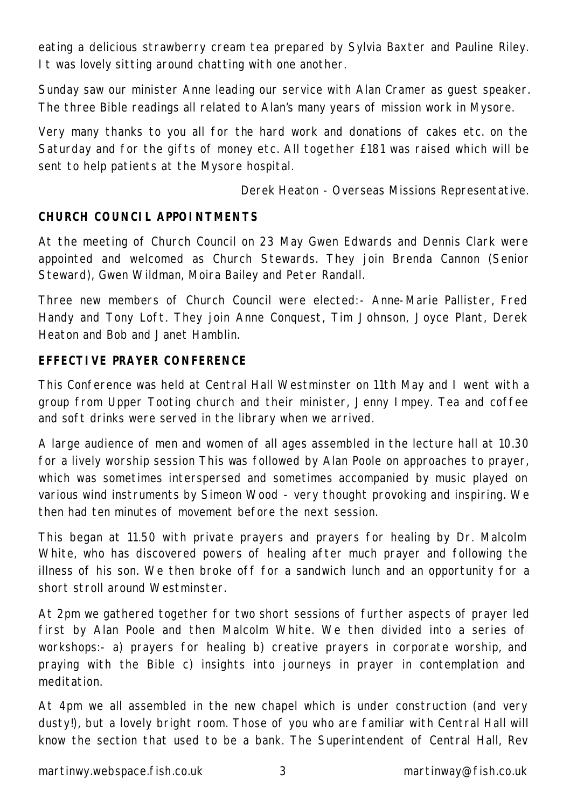eating a delicious strawberry cream tea prepared by Sylvia Baxter and Pauline Riley. It was lovely sitting around chatting with one another.

Sunday saw our minister Anne leading our service with Alan Cramer as guest speaker. The three Bible readings all related to Alan's many years of mission work in Mysore.

Very many thanks to you all for the hard work and donations of cakes etc. on the Saturday and for the gifts of money etc. All together £181 was raised which will be sent to help patients at the Mysore hospital.

Derek Heaton - Overseas Missions Representative.

#### **CHURCH COUNCIL APPOINTMENTS**

At the meeting of Church Council on 23 May Gwen Edwards and Dennis Clark were appointed and welcomed as Church Stewards. They join Brenda Cannon (Senior Steward), Gwen Wildman, Moira Bailey and Peter Randall.

Three new members of Church Council were elected:- Anne-Marie Pallister, Fred Handy and Tony Loft. They join Anne Conquest, Tim Johnson, Joyce Plant, Derek Heaton and Bob and Janet Hamblin.

#### **EFFECTIVE PRAYER CONFERENCE**

This Conference was held at Central Hall Westminster on 11th May and I went with a group from Upper Tooting church and their minister, Jenny Impey. Tea and coffee and soft drinks were served in the library when we arrived.

A large audience of men and women of all ages assembled in the lecture hall at 10.30 for a lively worship session This was followed by Alan Poole on approaches to prayer, which was sometimes interspersed and sometimes accompanied by music played on various wind instruments by Simeon Wood - very thought provoking and inspiring. We then had ten minutes of movement before the next session.

This began at 11.50 with private prayers and prayers for healing by Dr. Malcolm White, who has discovered powers of healing after much prayer and following the illness of his son. We then broke off for a sandwich lunch and an opportunity for a short stroll around Westminster.

At 2pm we gathered together for two short sessions of further aspects of prayer led first by Alan Poole and then Malcolm White. We then divided into a series of workshops:- a) prayers for healing b) creative prayers in corporate worship, and praying with the Bible c) insights into journeys in prayer in contemplation and meditation.

At 4pm we all assembled in the new chapel which is under construction (and very dusty!), but a lovely bright room. Those of you who are familiar with Central Hall will know the section that used to be a bank. The Superintendent of Central Hall, Rev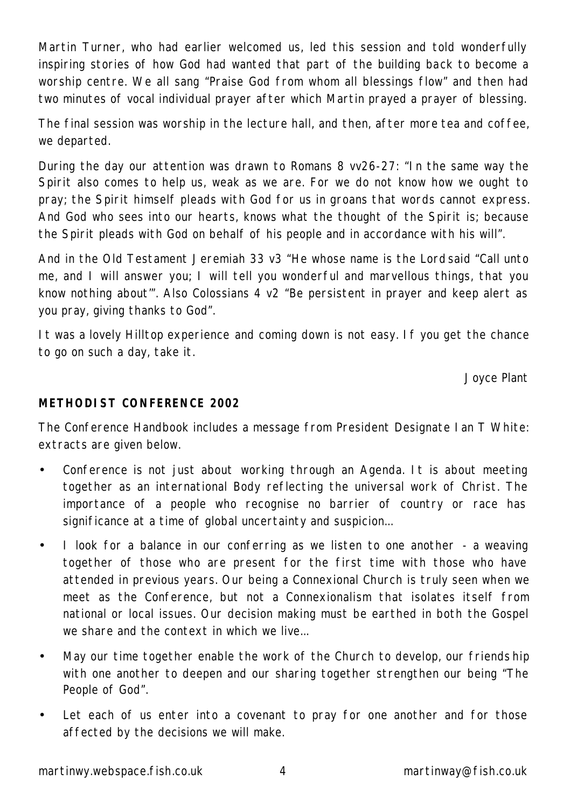Martin Turner, who had earlier welcomed us, led this session and told wonderfully inspiring stories of how God had wanted that part of the building back to become a worship centre. We all sang "Praise God from whom all blessings flow" and then had two minutes of vocal individual prayer after which Martin prayed a prayer of blessing.

The final session was worship in the lecture hall, and then, after more tea and coffee, we departed.

During the day our attention was drawn to Romans 8 vv26-27: "In the same way the Spirit also comes to help us, weak as we are. For we do not know how we ought to pray; the Spirit himself pleads with God for us in groans that words cannot express. And God who sees into our hearts, knows what the thought of the Spirit is; because the Spirit pleads with God on behalf of his people and in accordance with his will".

And in the Old Testament Jeremiah 33 v3 "He whose name is the Lord said "Call unto me, and I will answer you; I will tell you wonderful and marvellous things, that you know nothing about'". Also Colossians 4 v2 "Be persistent in prayer and keep alert as you pray, giving thanks to God".

It was a lovely Hilltop experience and coming down is not easy. If you get the chance to go on such a day, take it.

Joyce Plant

#### **METHODIST CONFERENCE 2002**

The Conference Handbook includes a message from President Designate Ian T White: extracts are given below.

- Conference is not just about working through an Agenda. It is about meeting together as an international Body reflecting the universal work of Christ. The importance of a people who recognise no barrier of country or race has significance at a time of global uncertainty and suspicion...
- I look for a balance in our conferring as we listen to one another a weaving together of those who are present for the first time with those who have attended in previous years. Our being a Connexional Church is truly seen when we meet as the Conference, but not a Connexionalism that isolates itself from national or local issues. Our decision making must be earthed in both the Gospel we share and the context in which we live...
- May our time together enable the work of the Church to develop, our friends hip with one another to deepen and our sharing together strengthen our being "The People of God".
- Let each of us enter into a covenant to pray for one another and for those affected by the decisions we will make.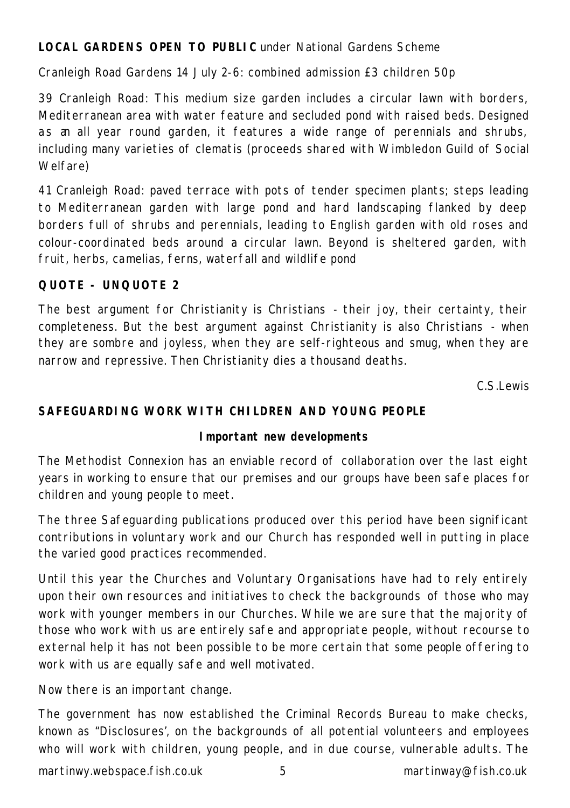#### **LOCAL GARDENS OPEN TO PUBLIC** under National Gardens Scheme

Cranleigh Road Gardens 14 July 2-6: combined admission £3 children 50p

39 Cranleigh Road: This medium size garden includes a circular lawn with borders, Mediterranean area with water feature and secluded pond with raised beds. Designed as an all year round garden, it features a wide range of perennials and shrubs, including many varieties of clematis (proceeds shared with Wimbledon Guild of Social Welfare)

41 Cranleigh Road: paved terrace with pots of tender specimen plants; steps leading to Mediterranean garden with large pond and hard landscaping flanked by deep borders full of shrubs and perennials, leading to English garden with old roses and colour-coordinated beds around a circular lawn. Beyond is sheltered garden, with fruit, herbs, camelias, ferns, waterfall and wildlife pond

#### **QUOTE - UNQUOTE 2**

The best argument for Christianity is Christians - their joy, their certainty, their completeness. But the best argument against Christianity is also Christians - when they are sombre and joyless, when they are self-righteous and smug, when they are narrow and repressive. Then Christianity dies a thousand deaths.

 $C$ S.Lewis

#### **SAFEGUARDING WORK WITH CHILDREN AND YOUNG PEOPLE**

#### **Important new developments**

The Methodist Connexion has an enviable record of collaboration over the last eight years in working to ensure that our premises and our groups have been safe places for children and young people to meet.

The three Safeguarding publications produced over this period have been significant contributions in voluntary work and our Church has responded well in putting in place the varied good practices recommended.

Until this year the Churches and Voluntary Organisations have had to rely entirely upon their own resources and initiatives to check the backgrounds of those who may work with younger members in our Churches. While we are sure that the majority of those who work with us are entirely safe and appropriate people, without recourse to external help it has not been possible to be more certain that some people offering to work with us are equally safe and well motivated.

Now there is an important change.

The government has now established the Criminal Records Bureau to make checks, known as "Disclosures', on the backgrounds of all potential volunteers and employees who will work with children, young people, and in due course, vulnerable adults. The

martinwy.webspace.fish.co.uk 5 martinway@fish.co.uk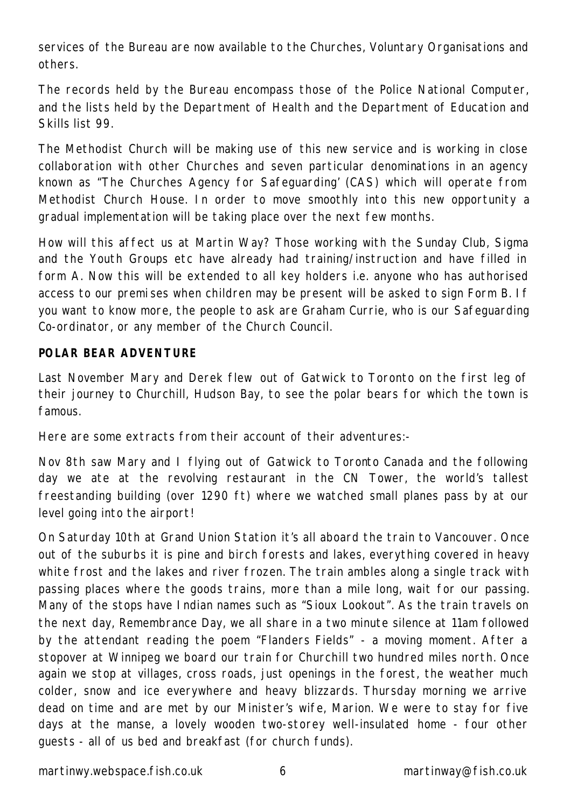services of the Bureau are now available to the Churches, Voluntary Organisations and others.

The records held by the Bureau encompass those of the Police National Computer, and the lists held by the Department of Health and the Department of Education and Skills list 99.

The Methodist Church will be making use of this new service and is working in close collaboration with other Churches and seven particular denominations in an agency known as "The Churches Agency for Safeguarding' (CAS) which will operate from Methodist Church House. In order to move smoothly into this new opportunity a gradual implementation will be taking place over the next few months.

How will this affect us at Martin Way? Those working with the Sunday Club, Sigma and the Youth Groups etc have already had training/instruction and have filled in form A. Now this will be extended to all key holders i.e. anyone who has authorised access to our premi ses when children may be present will be asked to sign Form B. If you want to know more, the people to ask are Graham Currie, who is our Safeguarding Co-ordinator, or any member of the Church Council.

#### **POLAR BEAR ADVENTURE**

Last November Mary and Derek flew out of Gatwick to Toronto on the first leg of their journey to Churchill, Hudson Bay, to see the polar bears for which the town is famous.

Here are some extracts from their account of their adventures:-

Nov 8th saw Mary and I flying out of Gatwick to Toronto Canada and the following day we ate at the revolving restaurant in the CN Tower, the world's tallest freestanding building (over 1290 ft) where we watched small planes pass by at our level going into the airport!

On Saturday 10th at Grand Union Station it's all aboard the train to Vancouver. Once out of the suburbs it is pine and birch forests and lakes, everything covered in heavy white frost and the lakes and river frozen. The train ambles along a single track with passing places where the goods trains, more than a mile long, wait for our passing. Many of the stops have Indian names such as "Sioux Lookout". As the train travels on the next day, Remembrance Day, we all share in a two minute silence at 11am followed by the attendant reading the poem "Flanders Fields" - a moving moment. After a stopover at Winnipeg we board our train for Churchill two hundred miles north. Once again we stop at villages, cross roads, just openings in the forest, the weather much colder, snow and ice everywhere and heavy blizzards. Thursday morning we arrive dead on time and are met by our Minister's wife, Marion. We were to stay for five days at the manse, a lovely wooden two-storey well-insulated home - four other guests - all of us bed and breakfast (for church funds).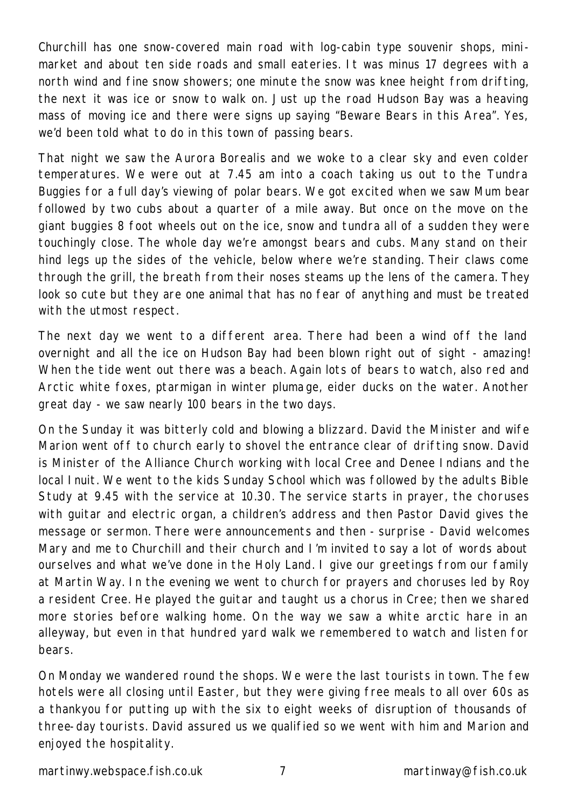Churchill has one snow-covered main road with log-cabin type souvenir shops, minimarket and about ten side roads and small eateries. It was minus 17 degrees with a north wind and fine snow showers; one minute the snow was knee height from drifting, the next it was ice or snow to walk on. Just up the road Hudson Bay was a heaving mass of moving ice and there were signs up saying "Beware Bears in this Area". Yes, we'd been told what to do in this town of passing bears.

That night we saw the Aurora Borealis and we woke to a clear sky and even colder temperatures. We were out at 7.45 am into a coach taking us out to the Tundra Buggies for a full day's viewing of polar bears. We got excited when we saw Mum bear followed by two cubs about a quarter of a mile away. But once on the move on the giant buggies 8 foot wheels out on the ice, snow and tundra all of a sudden they were touchingly close. The whole day we're amongst bears and cubs. Many stand on their hind legs up the sides of the vehicle, below where we're standing. Their claws come through the grill, the breath from their noses steams up the lens of the camera. They look so cute but they are one animal that has no fear of anything and must be treated with the utmost respect.

The next day we went to a different area. There had been a wind off the land overnight and all the ice on Hudson Bay had been blown right out of sight - amazing! When the tide went out there was a beach. Again lots of bears to watch, also red and Arctic white foxes, ptarmigan in winter pluma ge, eider ducks on the water. Another great day - we saw nearly 100 bears in the two days.

On the Sunday it was bitterly cold and blowing a blizzard. David the Minister and wife Marion went off to church early to shovel the entrance clear of drifting snow. David is Minister of the Alliance Church working with local Cree and Denee Indians and the local Inuit. We went to the kids Sunday School which was followed by the adults Bible Study at 9.45 with the service at 10.30. The service starts in prayer, the choruses with guitar and electric organ, a children's address and then Pastor David gives the message or sermon. There were announcements and then - surprise - David welcomes Mary and me to Churchill and their church and I'm invited to say a lot of words about ourselves and what we've done in the Holy Land. I give our greetings from our family at Martin Way. In the evening we went to church for prayers and choruses led by Roy a resident Cree. He played the guitar and taught us a chorus in Cree; then we shared more stories before walking home. On the way we saw a white arctic hare in an alleyway, but even in that hundred yard walk we remembered to watch and listen for bears.

On Monday we wandered round the shops. We were the last tourists in town. The few hotels were all closing until Easter, but they were giving free meals to all over 60s as a thankyou for putting up with the six to eight weeks of disruption of thousands of three-day tourists. David assured us we qualified so we went with him and Marion and enjoyed the hospitality.

martinwy.webspace.fish.co.uk 7 martinway@fish.co.uk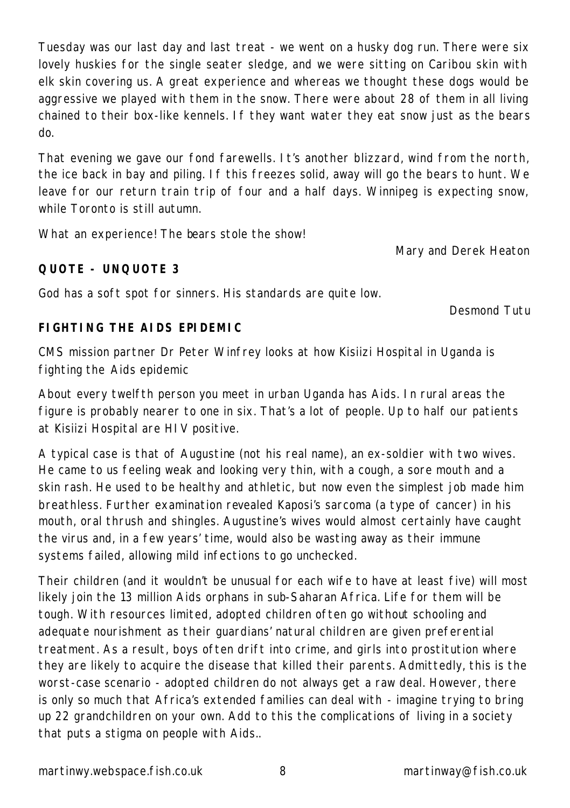Tuesday was our last day and last treat - we went on a husky dog run. There were six lovely huskies for the single seater sledge, and we were sitting on Caribou skin with elk skin covering us. A great experience and whereas we thought these dogs would be aggressive we played with them in the snow. There were about 28 of them in all living chained to their box-like kennels. If they want water they eat snow just as the bears do.

That evening we gave our fond farewells. It's another blizzard, wind from the north, the ice back in bay and piling. If this freezes solid, away will go the bears to hunt. We leave for our return train trip of four and a half days. Winnipeg is expecting snow, while Toronto is still autumn.

What an experience! The bears stole the show!

Mary and Derek Heaton

#### **QUOTE - UNQUOTE 3**

God has a soft spot for sinners. His standards are quite low.

Desmond Tutu

## **FIGHTING THE AIDS EPIDEMIC**

CMS mission partner Dr Peter Winfrey looks at how Kisiizi Hospital in Uganda is fighting the Aids epidemic

About every twelfth person you meet in urban Uganda has Aids. In rural areas the figure is probably nearer to one in six. That's a lot of people. Up to half our patients at Kisiizi Hospital are HIV positive.

A typical case is that of Augustine (not his real name), an ex-soldier with two wives. He came to us feeling weak and looking very thin, with a cough, a sore mouth and a skin rash. He used to be healthy and athletic, but now even the simplest job made him breathless. Further examination revealed Kaposi's sarcoma (a type of cancer) in his mouth, oral thrush and shingles. Augustine's wives would almost certainly have caught the virus and, in a few years' time, would also be wasting away as their immune systems failed, allowing mild infections to go unchecked.

Their children (and it wouldn't be unusual for each wife to have at least five) will most likely join the 13 million Aids orphans in sub-Saharan Africa. Life for them will be tough. With resources limited, adopted children often go without schooling and adequate nourishment as their guardians' natural children are given preferential treatment. As a result, boys often drift into crime, and girls into prostitution where they are likely to acquire the disease that killed their parents. Admittedly, this is the worst-case scenario - adopted children do not always get a raw deal. However, there is only so much that Africa's extended families can deal with - imagine trying to bring up 22 grandchildren on your own. Add to this the complications of living in a society that puts a stigma on people with Aids..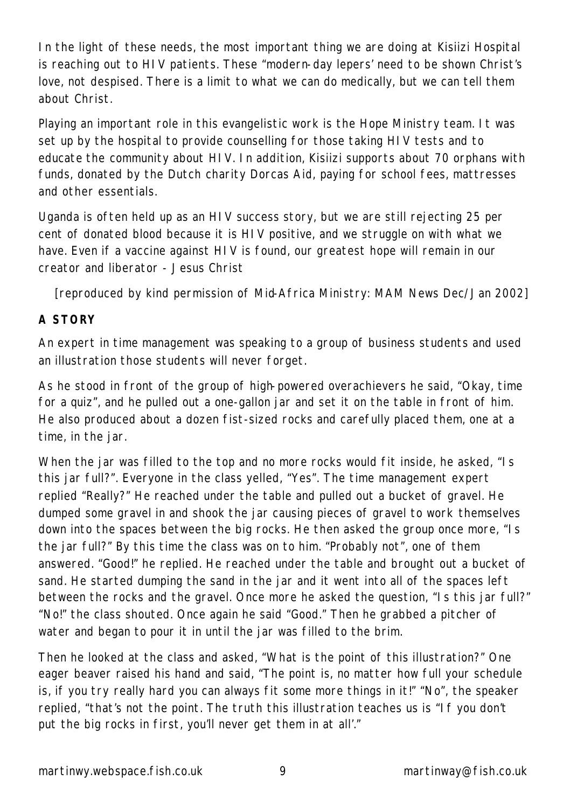In the light of these needs, the most important thing we are doing at Kisiizi Hospital is reaching out to HIV patients. These "modern-day lepers' need to be shown Christ's love, not despised. There is a limit to what we can do medically, but we can tell them about Christ.

Playing an important role in this evangelistic work is the Hope Ministry team. It was set up by the hospital to provide counselling for those taking HIV tests and to educate the community about HIV. In addition, Kisiizi supports about 70 orphans with funds, donated by the Dutch charity Dorcas Aid, paying for school fees, mattresses and other essentials.

Uganda is often held up as an HIV success story, but we are still rejecting 25 per cent of donated blood because it is HIV positive, and we struggle on with what we have. Even if a vaccine against HIV is found, our greatest hope will remain in our creator and liberator - Jesus Christ

[reproduced by kind permission of Mid-Africa Ministry: MAM News Dec/Jan 2002]

# **A STORY**

An expert in time management was speaking to a group of business students and used an illustration those students will never forget.

As he stood in front of the group of high-powered overachievers he said, "Okay, time for a quiz", and he pulled out a one-gallon jar and set it on the table in front of him. He also produced about a dozen fist-sized rocks and carefully placed them, one at a time, in the jar.

When the jar was filled to the top and no more rocks would fit inside, he asked, "Is this jar full?". Everyone in the class yelled, "Yes". The time management expert replied "Really?" He reached under the table and pulled out a bucket of gravel. He dumped some gravel in and shook the jar causing pieces of gravel to work themselves down into the spaces between the big rocks. He then asked the group once more, "Is the jar full?" By this time the class was on to him. "Probably not", one of them answered. "Good!" he replied. He reached under the table and brought out a bucket of sand. He started dumping the sand in the jar and it went into all of the spaces left between the rocks and the gravel. Once more he asked the question, "Is this jar full?" "No!" the class shouted. Once again he said "Good." Then he grabbed a pitcher of water and began to pour it in until the jar was filled to the brim.

Then he looked at the class and asked, "What is the point of this illustration?" One eager beaver raised his hand and said, "The point is, no matter how full your schedule is, if you try really hard you can always fit some more things in it!" "No", the speaker replied, "that's not the point. The truth this illustration teaches us is "If you don't put the big rocks in first, you'll never get them in at all'."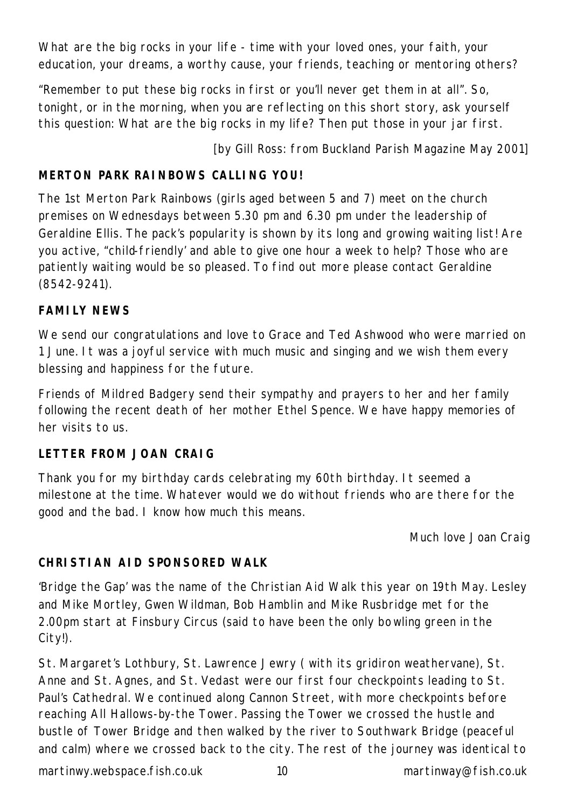What are the big rocks in your life - time with your loved ones, your faith, your education, your dreams, a worthy cause, your friends, teaching or mentoring others?

"Remember to put these big rocks in first or you'll never get them in at all". So, tonight, or in the morning, when you are reflecting on this short story, ask yourself this question: What are the big rocks in my life? Then put those in your jar first.

[by Gill Ross: from Buckland Parish Magazine May 2001]

#### **MERTON PARK RAINBOWS CALLING YOU!**

The 1st Merton Park Rainbows (girls aged between 5 and 7) meet on the church premises on Wednesdays between 5.30 pm and 6.30 pm under the leadership of Geraldine Ellis. The pack's popularity is shown by its long and growing waiting list! Are you active, "child-friendly' and able to give one hour a week to help? Those who are patiently waiting would be so pleased. To find out more please contact Geraldine (8542-9241).

#### **FAMILY NEWS**

We send our congratulations and love to Grace and Ted Ashwood who were married on 1 June. It was a joyful service with much music and singing and we wish them every blessing and happiness for the future.

Friends of Mildred Badgery send their sympathy and prayers to her and her family following the recent death of her mother Ethel Spence. We have happy memories of her visits to us.

## **LETTER FROM JOAN CRAIG**

Thank you for my birthday cards celebrating my 60th birthday. It seemed a milestone at the time. Whatever would we do without friends who are there for the good and the bad. I know how much this means.

Much love Joan Craig

## **CHRISTIAN AID SPONSORED WALK**

'Bridge the Gap' was the name of the Christian Aid Walk this year on 19th May. Lesley and Mike Mortley, Gwen Wildman, Bob Hamblin and Mike Rusbridge met for the 2.00pm start at Finsbury Circus (said to have been the only bowling green in the City!).

St. Margaret's Lothbury, St. Lawrence Jewry ( with its gridiron weathervane), St. Anne and St. Agnes, and St. Vedast were our first four checkpoints leading to St. Paul's Cathedral. We continued along Cannon Street, with more checkpoints before reaching All Hallows-by-the Tower. Passing the Tower we crossed the hustle and bustle of Tower Bridge and then walked by the river to Southwark Bridge (peaceful and calm) where we crossed back to the city. The rest of the journey was identical to

martinwy.webspace.fish.co.uk 10 martinway@fish.co.uk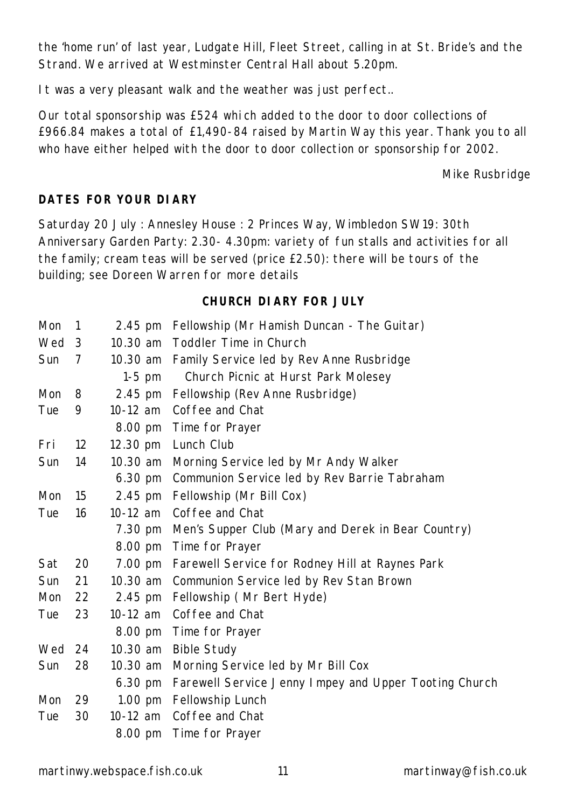the 'home run' of last year, Ludgate Hill, Fleet Street, calling in at St. Bride's and the Strand. We arrived at Westminster Central Hall about 5.20pm.

It was a very pleasant walk and the weather was just perfect..

Our total sponsorship was £524 whi ch added to the door to door collections of £966.84 makes a total of £1,490-84 raised by Martin Way this year. Thank you to all who have either helped with the door to door collection or sponsorship for 2002.

Mike Rusbridge

#### **DATES FOR YOUR DIARY**

Saturday 20 July : Annesley House : 2 Princes Way, Wimbledon SW19: 30th Anniversary Garden Party: 2.30- 4.30pm: variety of fun stalls and activities for all the family; cream teas will be served (price £2.50): there will be tours of the building; see Doreen Warren for more details

#### **CHURCH DIARY FOR JULY**

| Mon        | 1                 | $2.45$ pm         | Fellowship (Mr Hamish Duncan - The Guitar)            |
|------------|-------------------|-------------------|-------------------------------------------------------|
| Wed        | 3                 | 10.30 am          | Toddler Time in Church                                |
| Sun        | 7                 | 10.30 am          | Family Service led by Rev Anne Rusbridge              |
|            |                   | $1-5$ pm          | Church Picnic at Hurst Park Molesey                   |
| Mon        | 8                 | $2.45$ pm         | Fellowship (Rev Anne Rusbridge)                       |
| Tue        | 9                 | 10-12 am          | Coffee and Chat                                       |
|            |                   | 8.00 pm           | Time for Prayer                                       |
| Fri        | $12 \overline{ }$ | 12.30 pm          | Lunch Club                                            |
| Sun        | 14                | 10.30 am          | Morning Service led by Mr Andy Walker                 |
|            |                   | 6.30 pm           | Communion Service led by Rev Barrie Tabraham          |
| Mon        | 15                | 2.45 pm           | Fellowship (Mr Bill Cox)                              |
| Tue        | 16                | $10-12$ am        | Coffee and Chat                                       |
|            |                   | 7.30 pm           | Men's Supper Club (Mary and Derek in Bear Country)    |
|            |                   | 8.00 pm           | Time for Prayer                                       |
| Sat        | 20                | 7.00 pm           | Farewell Service for Rodney Hill at Raynes Park       |
| <b>Sun</b> | 21                | 10.30 am          | Communion Service led by Rev Stan Brown               |
| Mon        | 22                | 2.45 pm           | Fellowship (Mr Bert Hyde)                             |
| Tue        | 23                | $10-12$ am        | Coffee and Chat                                       |
|            |                   | 8.00 pm           | Time for Prayer                                       |
| Wed        | 24                | 10.30 am          | <b>Bible Study</b>                                    |
| Sun        | 28                | 10.30 am          | Morning Service led by Mr Bill Cox                    |
|            |                   | $6.30 \text{ pm}$ | Farewell Service Jenny Impey and Upper Tooting Church |
| Mon        | 29                | $1.00$ pm         | Fellowship Lunch                                      |
| Tue        | 30                | 10-12 am          | Coffee and Chat                                       |
|            |                   | 8.00 pm           | Time for Prayer                                       |